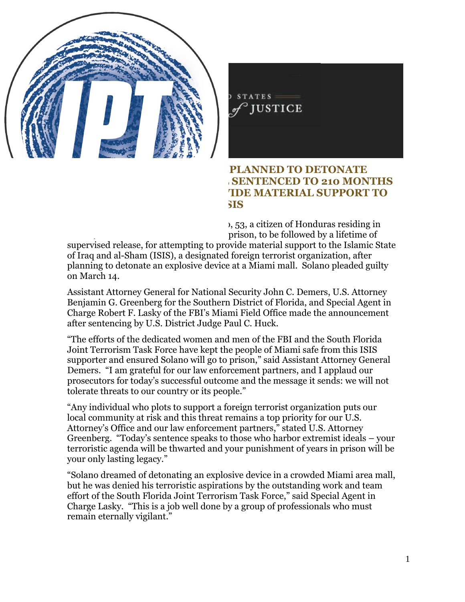

FOR IMMEDIATE RELEASE FRIDAY, JUNE 1, 2018

## **HONDURAN MAN WHO PLANNED TO DETONATE EXPLOSIVE AT MIAMI MALL SENTENCED TO 210 MONTHS FOR ATTEMPTING TO PROVIDE MATERIAL SUPPORT TO ISIS**

WASHINGTON – Vicente Adolfo Solano, 53, a citizen of Honduras residing in Miami, was sentenced to 210 months in prison, to be followed by a lifetime of supervised release, for attempting to provide material support to the Islamic State of Iraq and al-Sham (ISIS), a designated foreign terrorist organization, after planning to detonate an explosive device at a Miami mall. Solano pleaded guilty on March 14.

Assistant Attorney General for National Security John C. Demers, U.S. Attorney Benjamin G. Greenberg for the Southern District of Florida, and Special Agent in Charge Robert F. Lasky of the FBI's Miami Field Office made the announcement after sentencing by U.S. District Judge Paul C. Huck.

"The efforts of the dedicated women and men of the FBI and the South Florida Joint Terrorism Task Force have kept the people of Miami safe from this ISIS supporter and ensured Solano will go to prison," said Assistant Attorney General Demers. "I am grateful for our law enforcement partners, and I applaud our prosecutors for today's successful outcome and the message it sends: we will not tolerate threats to our country or its people."

"Any individual who plots to support a foreign terrorist organization puts our local community at risk and this threat remains a top priority for our U.S. Attorney's Office and our law enforcement partners," stated U.S. Attorney Greenberg. "Today's sentence speaks to those who harbor extremist ideals – your terroristic agenda will be thwarted and your punishment of years in prison will be your only lasting legacy."

"Solano dreamed of detonating an explosive device in a crowded Miami area mall, but he was denied his terroristic aspirations by the outstanding work and team effort of the South Florida Joint Terrorism Task Force," said Special Agent in Charge Lasky. "This is a job well done by a group of professionals who must remain eternally vigilant."